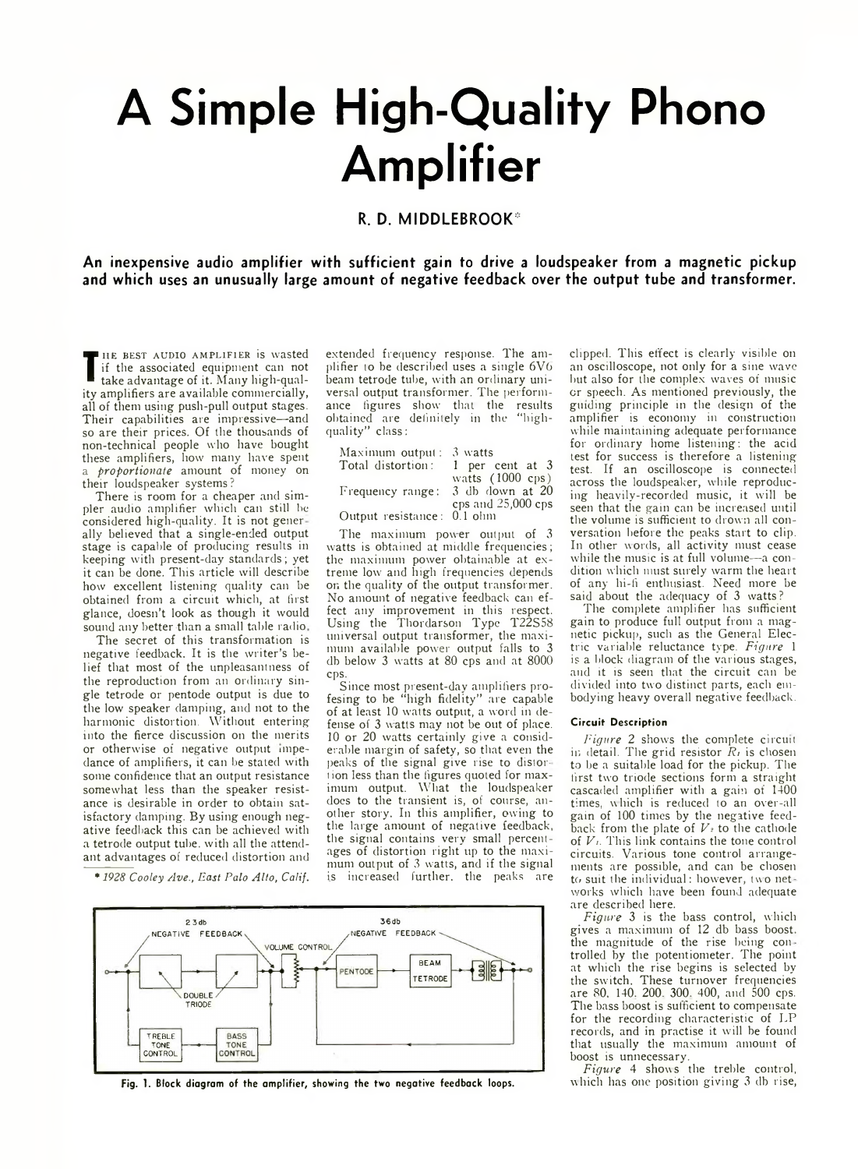## **A Simple High-Quality Phono Amplifier**

## **R. D. M IDDLEBRO O K\***

**An inexpensive audio amplifier with sufficient gain to drive a loudspeaker from a magnetic pickup and which uses an unusually large amount of negative feedback over the output tube and transformer.**

THE BEST AUDIO AMPLIFIER IS WASTED<br>
if the associated equipment can not<br>
take advantage of it. Many high-qual-<br>
ity amplifiers are available commercially, HE BEST AUDIO AMPLIFIER is wasted if the associated equipment can not take advantage of it. Many high-qualall of them using push-pull output stages. Their capabilities are impressive—and so are their prices. Of the thousands of non-technical people who have bought these amplifiers, how many have spent a *proportionate* amount of money on their loudspeaker systems ?

There is room for a cheaper and simpler audio amplifier which can still he considered high-quality. It is not gener ally believed that a single-ended output stage is capable of producing results in keeping with present-day standards; yet it can be done. This article will describe how excellent listening quality can be obtained from a circuit which, at first glance, doesn't look as though it would sound any better than a small table radio.

The secret of this transformation is negative feedback. It is the writer's belief that most of the unpleasantness of the reproduction from an ordinary single tetrode or pentode output is due to the low speaker damping, and not to the harmonic distortion. Without entering into the fierce discussion on the merits or otherwise of negative output impedance of amplifiers, it can be stated with some confidence that an output resistance somewhat less than the speaker resistance is desirable in order to obtain satisfactory damping. By using enough negative feedback this can be achieved with a tetrode output tube, with all the attendant advantages of reduced distortion and

*\*1928 Cooley Ave., East Palo Alto, Calif.*

extended frequency response. The amplifier to be described uses a single  $6V6$ beam tetrode tube, with an ordinary universal output transformer. The performance figures show that the results obtained are definitely in the "highquality" class:

| Maximum output: $3$ watts  |                            |
|----------------------------|----------------------------|
| Total distortion:          | 1 per cent at 3            |
|                            | watts $(1000 \text{ cps})$ |
| Frequency range:           | 3 db down at 20            |
|                            | cps and $25,000$ cps       |
| Output resistance: 0.1 ohm |                            |

The maximum power output of 3 watts is obtained at middle frequencies; the maximum power obtainable at extreme low and high frequencies depends on the quality of the output transformer. No amount of negative feedback can effect any improvement in this respect. Using the Thordarson Type T22S58 universal output transformer, the maximum available power output falls to 3 db below 3 watts at 80 cps and at 8000 cps.

Since most present-day amplifiers profesing to be "high fidelity" are capable of at least 10 watts output, a word in defense of 3 watts may not be out of place. 10 or 20 watts certainly give a considerable margin of safety, so that even the peaks of the signal give rise to distortion less than the figures quoted for maximum output. What the loudspeaker does to the transient is, of course, another story. In this amplifier, owing to the large amount of negative feedback, the signal contains very small percentages of distortion right up to the maximum output of 3 watts, and if the signal is increased further, the peaks are



Fig. 1. Block diagram of the amplifier, showing the two negative feedback loops.

clipped. This effect is clearly visible on an oscilloscope, not only for a sine wave but also for the complex waves of music or speech. As mentioned previously, the guiding principle in the design of the amplifier is economy in construction while maintaining adequate performance for ordinary home listening: the acid test for success is therefore a listening test. If an oscilloscope is connected across the loudspeaker, while reproducing heavily-recorded music, it will be seen that the gain can be increased until the volume is sufficient to drown all conversation before the peaks start to clip. In other words, all activity must cease while the music is at full volume—a condition which must surely warm the heart of any hi-fi enthusiast. Need more be said about the adequacy of 3 watts?

The complete amplifier has sufficient gain to produce full output from a magnetic pickup, such as the General Electric variable reluctance type. *Figure* 1 is a block diagram of the various stages, and it is seen that the circuit can be divided into two distinct parts, each embodying heavy overall negative feedback.

## Circuit Description

*Figure 2* shows the complete circuit in detail. The grid resistor *Ri* is chosen to be a suitable load for the pickup. The first two triode sections form a straight cascaded amplifier with a gain of 1400 times, which is reduced to an over-all gain of 100 times by the negative feedback from the plate of *V:* to the cathode of *Vi.* This link contains the tone control circuits. Various tone control arrangements are possible, and can be chosen to suit the individual: however, two net works which have been found adequate are described here.

*Figure* 3 is the bass control, which gives a maximum of 12 db bass boost, the magnitude of the rise being con trolled by the potentiometer. The point at which the rise begins is selected by the switch. These turnover frequencies are 80, 140. 200. 300. 400, and 500 cps. The bass boost is sufficient to compensate for the recording characteristic of LP records, and in practise it will be found that usually the maximum amount of boost is unnecessary.

*Figure* 4 shows the treble control, which has one position giving 3 db rise,